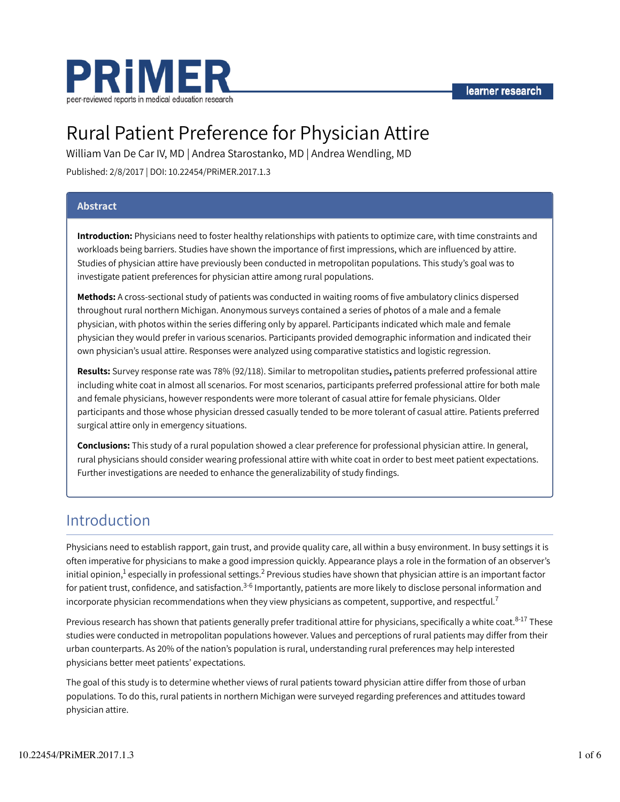

# Rural Patient Preference for Physician Attire

William Van De Car IV, MD | Andrea Starostanko, MD | Andrea Wendling, MD Published: 2/8/2017 | DOI: 10.22454/PRiMER.2017.1.3

### Abstract

Introduction: Physicians need to foster healthy relationships with patients to optimize care, with time constraints and workloads being barriers. Studies have shown the importance of first impressions, which are influenced by attire. Studies of physician attire have previously been conducted in metropolitan populations. This study's goal was to investigate patient preferences for physician attire among rural populations.

Methods: A cross-sectional study of patients was conducted in waiting rooms of five ambulatory clinics dispersed throughout rural northern Michigan. Anonymous surveys contained a series of photos of a male and a female physician, with photos within the series differing only by apparel. Participants indicated which male and female physician they would prefer in various scenarios. Participants provided demographic information and indicated their own physician's usual attire. Responses were analyzed using comparative statistics and logistic regression.

Results: Survey response rate was 78% (92/118). Similar to metropolitan studies, patients preferred professional attire including white coat in almost all scenarios. For most scenarios, participants preferred professional attire for both male and female physicians, however respondents were more tolerant of casual attire for female physicians. Older participants and those whose physician dressed casually tended to be more tolerant of casual attire. Patients preferred surgical attire only in emergency situations.

Conclusions: This study of a rural population showed a clear preference for professional physician attire. In general, rural physicians should consider wearing professional attire with white coat in order to best meet patient expectations. Further investigations are needed to enhance the generalizability of study findings.

### Introduction

Physicians need to establish rapport, gain trust, and provide quality care, all within a busy environment. In busy settings it is often imperative for physicians to make a good impression quickly. Appearance plays a role in the formation of an observer's initial opinion, $^1$  especially in professional settings. $^2$  Previous studies have shown that physician attire is an important factor for patient trust, confidence, and satisfaction.<sup>3-6</sup> Importantly, patients are more likely to disclose personal information and incorporate physician recommendations when they view physicians as competent, supportive, and respectful.<sup>7</sup>

Previous research has shown that patients generally prefer traditional attire for physicians, specifically a white coat.<sup>8-17</sup> These studies were conducted in metropolitan populations however. Values and perceptions of rural patients may differ from their urban counterparts. As 20% of the nation's population is rural, understanding rural preferences may help interested physicians better meet patients' expectations.

The goal of this study is to determine whether views of rural patients toward physician attire differ from those of urban populations. To do this, rural patients in northern Michigan were surveyed regarding preferences and attitudes toward physician attire.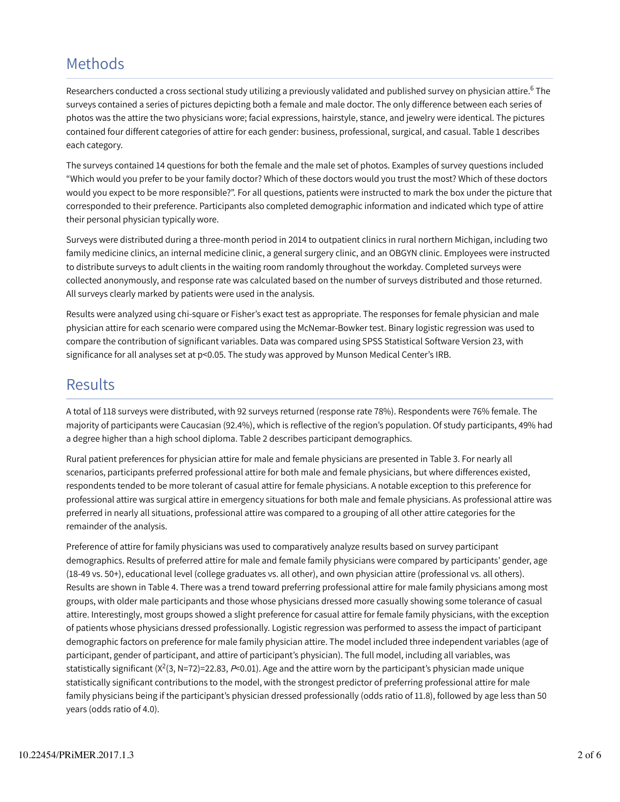## Methods

Researchers conducted a cross sectional study utilizing a previously validated and published survey on physician attire.<sup>6</sup> The surveys contained a series of pictures depicting both a female and male doctor. The only difference between each series of photos was the attire the two physicians wore; facial expressions, hairstyle, stance, and jewelry were identical. The pictures contained four different categories of attire for each gender: business, professional, surgical, and casual. Table 1 describes each category.

The surveys contained 14 questions for both the female and the male set of photos. Examples of survey questions included "Which would you prefer to be your family doctor? Which of these doctors would you trust the most? Which of these doctors would you expect to be more responsible?". For all questions, patients were instructed to mark the box under the picture that corresponded to their preference. Participants also completed demographic information and indicated which type of attire their personal physician typically wore.

Surveys were distributed during a three-month period in 2014 to outpatient clinics in rural northern Michigan, including two family medicine clinics, an internal medicine clinic, a general surgery clinic, and an OBGYN clinic. Employees were instructed to distribute surveys to adult clients in the waiting room randomly throughout the workday. Completed surveys were collected anonymously, and response rate was calculated based on the number of surveys distributed and those returned. All surveys clearly marked by patients were used in the analysis.

Results were analyzed using chi-square or Fisher's exact test as appropriate. The responses for female physician and male physician attire for each scenario were compared using the McNemar-Bowker test. Binary logistic regression was used to compare the contribution of significant variables. Data was compared using SPSS Statistical Software Version 23, with significance for all analyses set at p<0.05. The study was approved by Munson Medical Center's IRB.

### **Results**

A total of 118 surveys were distributed, with 92 surveys returned (response rate 78%). Respondents were 76% female. The majority of participants were Caucasian (92.4%), which is reflective of the region's population. Of study participants, 49% had a degree higher than a high school diploma. Table 2 describes participant demographics.

Rural patient preferences for physician attire for male and female physicians are presented in Table 3. For nearly all scenarios, participants preferred professional attire for both male and female physicians, but where differences existed, respondents tended to be more tolerant of casual attire for female physicians. A notable exception to this preference for professional attire was surgical attire in emergency situations for both male and female physicians. As professional attire was preferred in nearly all situations, professional attire was compared to a grouping of all other attire categories for the remainder of the analysis.

Preference of attire for family physicians was used to comparatively analyze results based on survey participant demographics. Results of preferred attire for male and female family physicians were compared by participants' gender, age (18-49 vs. 50+), educational level (college graduates vs. all other), and own physician attire (professional vs. all others). Results are shown in Table 4. There was a trend toward preferring professional attire for male family physicians among most groups, with older male participants and those whose physicians dressed more casually showing some tolerance of casual attire. Interestingly, most groups showed a slight preference for casual attire for female family physicians, with the exception of patients whose physicians dressed professionally. Logistic regression was performed to assess the impact of participant demographic factors on preference for male family physician attire. The model included three independent variables (age of participant, gender of participant, and attire of participant's physician). The full model, including all variables, was statistically significant (X<sup>2</sup>(3, N=72)=22.83, P<0.01). Age and the attire worn by the participant's physician made unique statistically significant contributions to the model, with the strongest predictor of preferring professional attire for male family physicians being if the participant's physician dressed professionally (odds ratio of 11.8), followed by age less than 50 years (odds ratio of 4.0).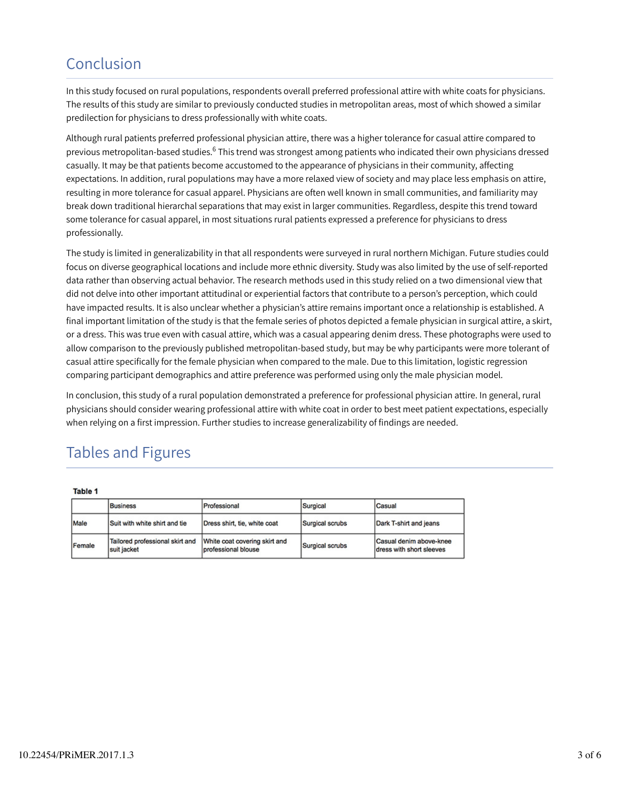## Conclusion

In this study focused on rural populations, respondents overall preferred professional attire with white coats for physicians. The results of this study are similar to previously conducted studies in metropolitan areas, most of which showed a similar predilection for physicians to dress professionally with white coats.

Although rural patients preferred professional physician attire, there was a higher tolerance for casual attire compared to previous metropolitan-based studies.<sup>6</sup> This trend was strongest among patients who indicated their own physicians dressed casually. It may be that patients become accustomed to the appearance of physicians in their community, affecting expectations. In addition, rural populations may have a more relaxed view of society and may place less emphasis on attire, resulting in more tolerance for casual apparel. Physicians are often well known in small communities, and familiarity may break down traditional hierarchal separations that may exist in larger communities. Regardless, despite this trend toward some tolerance for casual apparel, in most situations rural patients expressed a preference for physicians to dress professionally.

The study is limited in generalizability in that all respondents were surveyed in rural northern Michigan. Future studies could focus on diverse geographical locations and include more ethnic diversity. Study was also limited by the use of self-reported data rather than observing actual behavior. The research methods used in this study relied on a two dimensional view that did not delve into other important attitudinal or experiential factors that contribute to a person's perception, which could have impacted results. It is also unclear whether a physician's attire remains important once a relationship is established. A final important limitation of the study is that the female series of photos depicted a female physician in surgical attire, a skirt, or a dress. This was true even with casual attire, which was a casual appearing denim dress. These photographs were used to allow comparison to the previously published metropolitan-based study, but may be why participants were more tolerant of casual attire specifically for the female physician when compared to the male. Due to this limitation, logistic regression comparing participant demographics and attire preference was performed using only the male physician model.

In conclusion, this study of a rural population demonstrated a preference for professional physician attire. In general, rural physicians should consider wearing professional attire with white coat in order to best meet patient expectations, especially when relying on a first impression. Further studies to increase generalizability of findings are needed.

## Tables and Figures

Table 1

|        | <b>Business</b>                                | Professional                                         | Surgical        | Casual                                              |  |
|--------|------------------------------------------------|------------------------------------------------------|-----------------|-----------------------------------------------------|--|
| Male   | Suit with white shirt and tie                  | Dress shirt, tie, white coat                         | Surgical scrubs | Dark T-shirt and jeans                              |  |
| Female | Tailored professional skirt and<br>suit jacket | White coat covering skirt and<br>professional blouse | Surgical scrubs | Casual denim above-knee<br>dress with short sleeves |  |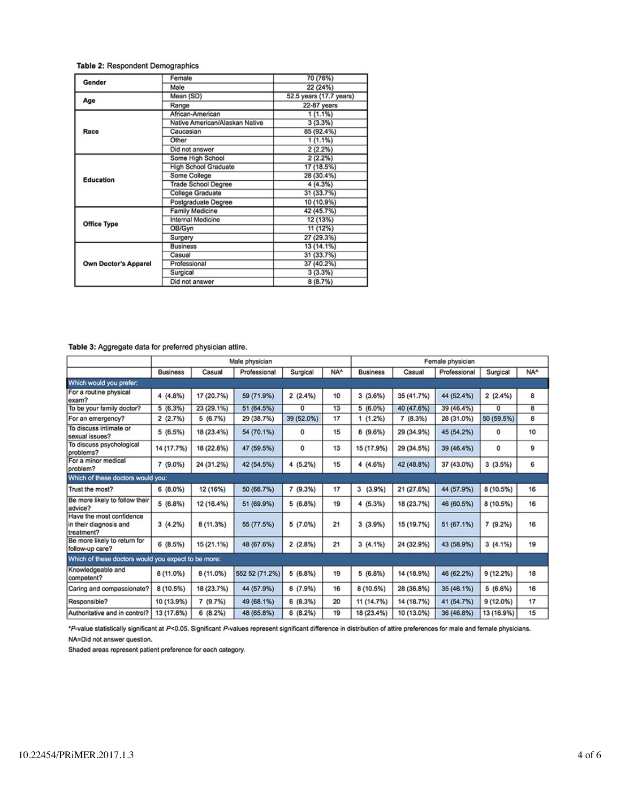#### Table 2: Respondent Demographics

| Gender                      | Female                         | 70 (76%)                                                                   |  |  |  |
|-----------------------------|--------------------------------|----------------------------------------------------------------------------|--|--|--|
|                             | Male                           | 22 (24%)                                                                   |  |  |  |
|                             | Mean (SD)                      | 52.5 years (17.7 years)                                                    |  |  |  |
| Age                         | Range                          | 22-87 years                                                                |  |  |  |
|                             | African-American               | 1(1.1%)                                                                    |  |  |  |
|                             | Native American/Alaskan Native | 3(3.3%)                                                                    |  |  |  |
| Race                        | Caucasian                      | 85 (92.4%)                                                                 |  |  |  |
|                             | Other                          | $1(1.1\%)$                                                                 |  |  |  |
|                             | Did not answer                 | 2(2.2%)                                                                    |  |  |  |
|                             | Some High School               | 2(2.2%)                                                                    |  |  |  |
|                             | <b>High School Graduate</b>    | 17 (18.5%)                                                                 |  |  |  |
| <b>Education</b>            | Some College                   | 28 (30.4%)                                                                 |  |  |  |
|                             | <b>Trade School Degree</b>     | 4 (4.3%)                                                                   |  |  |  |
|                             | <b>College Graduate</b>        | 31 (33.7%)                                                                 |  |  |  |
|                             | Postgraduate Degree            | 10 (10.9%)                                                                 |  |  |  |
|                             | <b>Family Medicine</b>         | 42 (45.7%)                                                                 |  |  |  |
| <b>Office Type</b>          | <b>Internal Medicine</b>       | 12 (13%)                                                                   |  |  |  |
|                             | OB/Gyn                         | 11 (12%)                                                                   |  |  |  |
|                             | Surgery                        | 27 (29.3%)<br>13 (14.1%)<br>31 (33.7%)<br>37 (40.2%)<br>3(3.3%)<br>8(8.7%) |  |  |  |
|                             | <b>Business</b>                |                                                                            |  |  |  |
|                             | Casual                         |                                                                            |  |  |  |
| <b>Own Doctor's Apparel</b> | Professional                   |                                                                            |  |  |  |
|                             | Surgical                       |                                                                            |  |  |  |
|                             | Did not answer                 |                                                                            |  |  |  |

#### Table 3: Aggregate data for preferred physician attire.

|                                                                  | Male physician  |            |                |             | Female physician |                 |            |              |            |                 |
|------------------------------------------------------------------|-----------------|------------|----------------|-------------|------------------|-----------------|------------|--------------|------------|-----------------|
|                                                                  | <b>Business</b> | Casual     | Professional   | Surgical    | NA <sup>A</sup>  | <b>Business</b> | Casual     | Professional | Surgical   | NA <sup>A</sup> |
| Which would you prefer:                                          |                 |            |                |             |                  |                 |            |              |            |                 |
| For a routine physical<br>exam?                                  | 4 (4.8%)        | 17 (20.7%) | 59 (71.9%)     | 2(2.4%)     | 10               | 3(3.6%)         | 35 (41.7%) | 44 (52.4%)   | 2(2.4%)    | 8               |
| To be your family doctor?                                        | 5(6.3%)         | 23 (29.1%) | 51 (64.5%)     | 0           | 13               | $5(6.0\%)$      | 40 (47.6%) | 39 (46.4%)   | 0          | 8               |
| For an emergency?                                                | 2(2.7%)         | 5 (6.7%)   | 29 (38.7%)     | 39 (52.0%)  | 17               | (1.2%)          | 7 (8.3%)   | 26 (31.0%)   | 50 (59.5%) | 8               |
| To discuss intimate or<br>sexual issues?                         | 5(6.5%)         | 18 (23.4%) | 54 (70.1%)     | $\mathbf 0$ | 15               | 8(9.6%)         | 29 (34.9%) | 45 (54.2%)   | 0          | 10              |
| To discuss psychological<br>problems?                            | 14 (17.7%)      | 18 (22.8%) | 47 (59.5%)     | 0           | 13               | 15 (17.9%)      | 29 (34.5%) | 39 (46.4%)   | 0          | 9               |
| For a minor medical<br>problem?                                  | 7 (9.0%)        | 24 (31.2%) | 42 (54.5%)     | 4 (5.2%)    | 15               | 4(4.6%)         | 42 (48.8%) | 37 (43.0%)   | 3(3.5%)    | 6               |
| Which of these doctors would you:                                |                 |            |                |             |                  |                 |            |              |            |                 |
| Trust the most?                                                  | 6(8.0%)         | 12 (16%)   | 50 (66.7%)     | 7 (9.3%)    | 17               | 3(3.9%)         | 21 (27.6%) | 44 (57.9%)   | 8 (10.5%)  | 16              |
| Be more likely to follow their<br>advice?                        | 5 (6.8%)        | 12 (16.4%) | 51 (69.9%)     | 5(6.8%)     | 19               | 4 (5.3%)        | 18 (23.7%) | 46 (60.5%)   | 8 (10.5%)  | 16              |
| Have the most confidence<br>in their diagnosis and<br>treatment? | 3(4.2%)         | 8 (11.3%)  | 55 (77.5%)     | 5(7.0%)     | 21               | 3(3.9%)         | 15 (19.7%) | 51 (67.1%)   | 7(9.2%)    | 16              |
| Be more likely to return for<br>follow-up care?                  | 6(8.5%)         | 15 (21.1%) | 48 (67.6%)     | 2(2.8%)     | 21               | $3(4.1\%)$      | 24 (32.9%) | 43 (58.9%)   | $3(4.1\%)$ | 19              |
| Which of these doctors would you expect to be more:              |                 |            |                |             |                  |                 |            |              |            |                 |
| Knowledgeable and<br>competent?                                  | 8 (11.0%)       | 8 (11.0%)  | 552 52 (71.2%) | 5 (6.8%)    | 19               | 5 (6.8%)        | 14 (18.9%) | 46 (62.2%)   | 9(12.2%)   | 18              |
| Caring and compassionate?                                        | 8 (10.5%)       | 18 (23.7%) | 44 (57.9%)     | 6 (7.9%)    | 16               | 8 (10.5%)       | 28 (36.8%) | 35 (46.1%)   | 5 (6.6%)   | 16              |
| Responsible?                                                     | 10 (13.9%)      | 7 (9.7%)   | 49 (68.1%)     | 6(8.3%)     | 20               | 11 (14.7%)      | 14 (18.7%) | 41 (54.7%)   | 9(12.0%)   | 17              |
| Authoritative and in control?                                    | 13 (17.8%)      | 6(8.2%)    | 48 (65.8%)     | 6(8.2%)     | 19               | 18 (23.4%)      | 10 (13.0%) | 36 (46.8%)   | 13 (16.9%) | 15              |

\*P-value statistically significant at P<0.05. Significant P-values represent significant difference in distribution of attire preferences for male and female physicians. NA=Did not answer question.

Shaded areas represent patient preference for each category.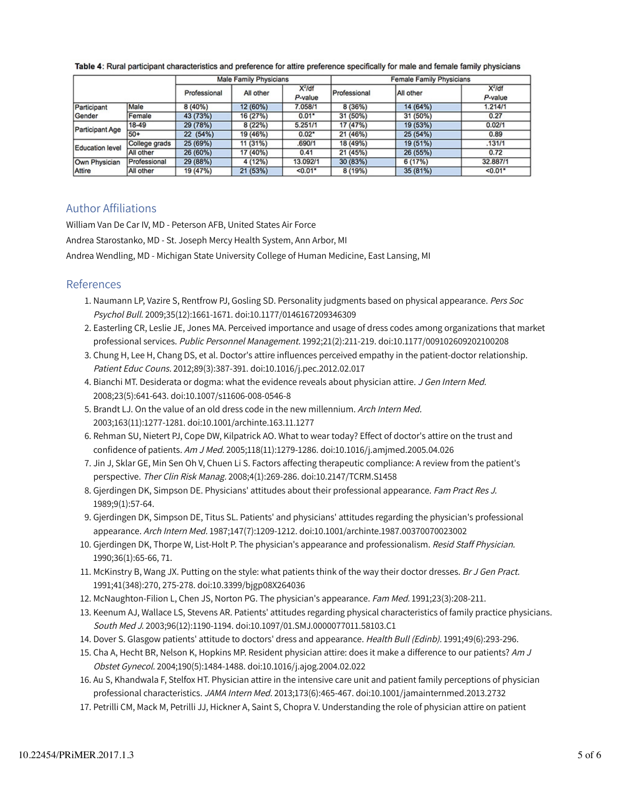|                        |               | <b>Male Family Physicians</b> |           |                       | <b>Female Family Physicians</b> |           |                      |  |
|------------------------|---------------|-------------------------------|-----------|-----------------------|---------------------------------|-----------|----------------------|--|
|                        |               | Professional                  | All other | $X^2$ /df<br>P-value  | Professional                    | All other | $X^2$ /df<br>P-value |  |
| Participant            | Male          | 8(40%)                        | 12 (60%)  | 7.058/1               | 8 (36%)                         | 14 (64%)  | 1.214/1              |  |
| Gender                 | Female        | 43 (73%)                      | 16 (27%)  | $0.01*$               | 31 (50%)                        | 31 (50%)  | 0.27                 |  |
| Participant Age        | $18-49$       | 29 (78%)                      | 8 (22%)   | 5.251/1               | 17 (47%)                        | 19 (53%)  | 0.02/1               |  |
|                        | $50+$         | 22 (54%)                      | 19 (46%)  | $0.02*$               | 21 (46%)                        | 25 (54%)  | 0.89                 |  |
| <b>Education level</b> | College grads | 25 (69%)                      | 11 (31%)  | .690/1                | 18 (49%)                        | 19 (51%)  | .131/1               |  |
|                        | All other     | 26 (60%)                      | 17 (40%)  | 0.41                  | 21 (45%)                        | 26 (55%)  | 0.72                 |  |
| Own Physician          | Professional  | 29 (88%)                      | 4 (12%)   | 13.092/1              | 30 (83%)                        | 6 (17%)   | 32.887/1             |  |
| <b>Attire</b>          | All other     | 19 (47%)                      | 21 (53%)  | $< 0.01$ <sup>*</sup> | 8 (19%)                         | 35 (81%)  | $< 0.01$ *           |  |

Table 4: Rural participant characteristics and preference for attire preference specifically for male and female family physicians

### Author Affiliations

William Van De Car IV, MD - Peterson AFB, United States Air Force

Andrea Starostanko, MD - St. Joseph Mercy Health System, Ann Arbor, MI

Andrea Wendling, MD - Michigan State University College of Human Medicine, East Lansing, MI

### References

- 1. Naumann LP, Vazire S, Rentfrow PJ, Gosling SD. Personality judgments based on physical appearance. *Pers Soc* Psychol Bull. 2009;35(12):1661-1671. doi:10.1177/0146167209346309
- Easterling CR, Leslie JE, Jones MA. Perceived importance and usage of dress codes among organizations that market 2. professional services. Public Personnel Management. 1992;21(2):211-219. doi:10.1177/009102609202100208
- Chung H, Lee H, Chang DS, et al. Doctor's attire influences perceived empathy in the patient-doctor relationship. 3. Patient Educ Couns. 2012;89(3):387-391. doi:10.1016/j.pec.2012.02.017
- 4. Bianchi MT. Desiderata or dogma: what the evidence reveals about physician attire. *J Gen Intern Med.* 2008;23(5):641-643. doi:10.1007/s11606-008-0546-8
- 5. Brandt LJ. On the value of an old dress code in the new millennium. Arch Intern Med. 2003;163(11):1277-1281. doi:10.1001/archinte.163.11.1277
- 6. Rehman SU, Nietert PJ, Cope DW, Kilpatrick AO. What to wear today? Effect of doctor's attire on the trust and confidence of patients. Am J Med. 2005;118(11):1279-1286. doi:10.1016/j.amjmed.2005.04.026
- 7. Jin J, Sklar GE, Min Sen Oh V, Chuen Li S. Factors affecting therapeutic compliance: A review from the patient's perspective. Ther Clin Risk Manag. 2008;4(1):269-286. doi:10.2147/TCRM.S1458
- 8. Gjerdingen DK, Simpson DE. Physicians' attitudes about their professional appearance. *Fam Pract Res J.* 1989;9(1):57-64.
- Gjerdingen DK, Simpson DE, Titus SL. Patients' and physicians' attitudes regarding the physician's professional 9. appearance. Arch Intern Med. 1987;147(7):1209-1212. doi:10.1001/archinte.1987.00370070023002
- 10. Gjerdingen DK, Thorpe W, List-Holt P. The physician's appearance and professionalism. *Resid Staff Physician.* 1990;36(1):65-66, 71.
- 11. McKinstry B, Wang JX. Putting on the style: what patients think of the way their doctor dresses. *Br J Gen Pract.* 1991;41(348):270, 275-278. doi:10.3399/bjgp08X264036
- 12. McNaughton-Filion L, Chen JS, Norton PG. The physician's appearance. Fam Med. 1991;23(3):208-211.
- 13. Keenum AJ, Wallace LS, Stevens AR. Patients' attitudes regarding physical characteristics of family practice physicians. South Med J. 2003;96(12):1190-1194. doi:10.1097/01.SMJ.0000077011.58103.C1
- 14. Dover S. Glasgow patients' attitude to doctors' dress and appearance. Health Bull (Edinb). 1991;49(6):293-296.
- 15. Cha A, Hecht BR, Nelson K, Hopkins MP. Resident physician attire: does it make a difference to our patients? *Am J* Obstet Gynecol. 2004;190(5):1484-1488. doi:10.1016/j.ajog.2004.02.022
- 16. Au S, Khandwala F, Stelfox HT. Physician attire in the intensive care unit and patient family perceptions of physician professional characteristics. JAMA Intern Med. 2013;173(6):465-467. doi:10.1001/jamainternmed.2013.2732
- 17. Petrilli CM, Mack M, Petrilli JJ, Hickner A, Saint S, Chopra V. Understanding the role of physician attire on patient